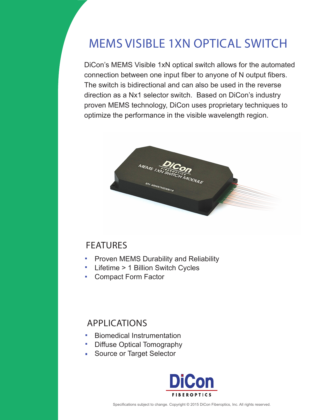# MEMS VISIBLE 1XN OPTICAL SWITCH

DiCon's MEMS Visible 1xN optical switch allows for the automated connection between one input fiber to anyone of N output fibers. The switch is bidirectional and can also be used in the reverse direction as a Nx1 selector switch. Based on DiCon's industry proven MEMS technology, DiCon uses proprietary techniques to optimize the performance in the visible wavelength region.



## FEATURES

- Proven MEMS Durability and Reliability  $\mathcal{L}_{\mathcal{A}}$
- Lifetime > 1 Billion Switch Cycles  $\mathcal{L}_{\mathcal{A}}$
- Compact Form Factor**College**

## APPLICATIONS

- $\mathbf{r}$ Biomedical Instrumentation
- Diffuse Optical Tomography  $\mathbf{r}$
- Source or Target Selector  $\overline{\mathbb{Z}}$